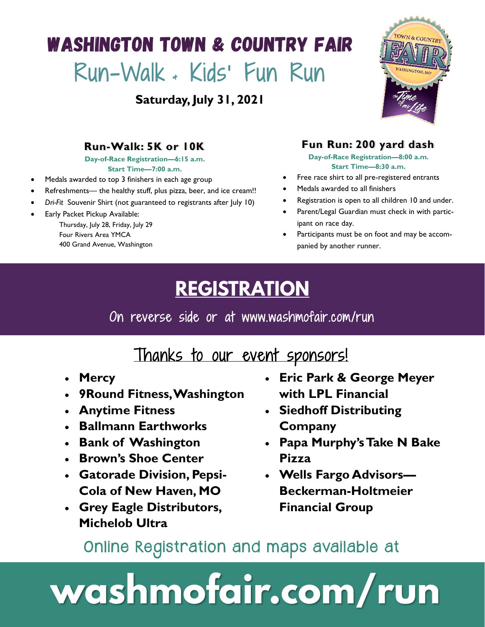## **WASHINGTON TOWN & COUNTRY FAIR** Run-Walk & Kids' Fun Run

**Saturday, July 31, 2021**



### **Run-Walk: 5K or 10K**

**Day-of-Race Registration—6:15 a.m.**

**Start Time—7:00 a.m.**

- Medals awarded to top 3 finishers in each age group
- Refreshments— the healthy stuff, plus pizza, beer, and ice cream!!
- *Dri-Fit* Souvenir Shirt (not guaranteed to registrants after July 10)
- Early Packet Pickup Available:

Thursday, July 28, Friday, July 29 Four Rivers Area YMCA 400 Grand Avenue, Washington

### **Fun Run: 200 yard dash**

**Day-of-Race Registration—8:00 a.m. Start Time—8:30 a.m.**

- Free race shirt to all pre-registered entrants
- Medals awarded to all finishers
- Registration is open to all children 10 and under.
- Parent/Legal Guardian must check in with participant on race day.
- Participants must be on foot and may be accompanied by another runner.

## **REGISTRATION**

On reverse side or at www.washmofair.com/run

## Thanks to our event sponsors!

- **Mercy**
- **9Round Fitness, Washington**
- **Anytime Fitness**
- **Ballmann Earthworks**
- **Bank of Washington**
- **Brown's Shoe Center**
- **Gatorade Division, Pepsi-Cola of New Haven, MO**
- **Grey Eagle Distributors, Michelob Ultra**
- **Eric Park & George Meyer with LPL Financial**
- **Siedhoff Distributing Company**
- **Papa Murphy's Take N Bake Pizza**
- **Wells Fargo Advisors— Beckerman-Holtmeier Financial Group**

### Online Registration and maps available at

# washmofair.com/run